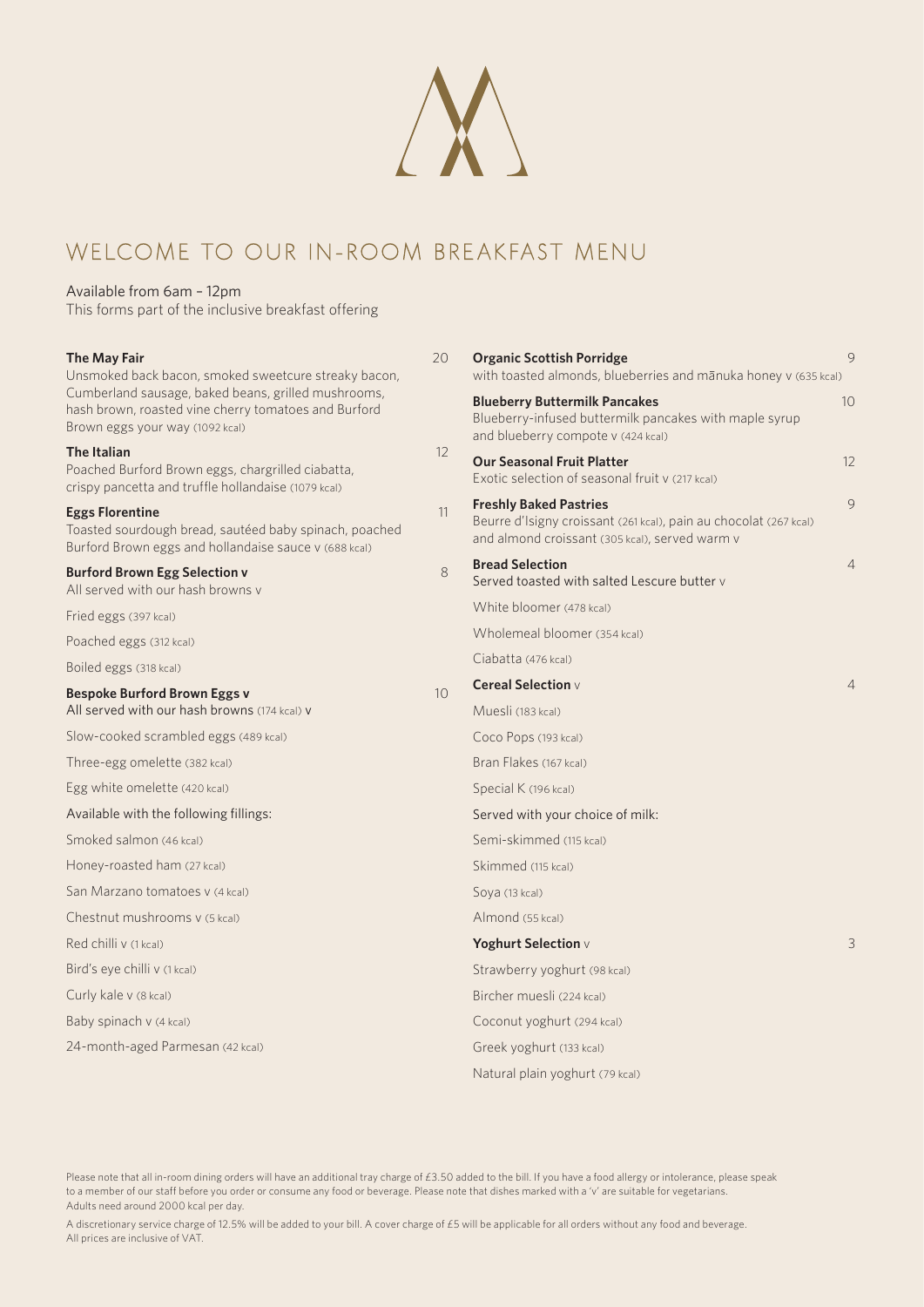

# WELCOME TO OUR IN-ROOM BREAKFAST menu

### Available from 6am – 12pm

This forms part of the inclusive breakfast offering

| The May Fair<br>Unsmoked back bacon, smoked sweetcure streaky bacon,<br>Cumberland sausage, baked beans, grilled mushrooms,<br>hash brown, roasted vine cherry tomatoes and Burford<br>Brown eggs your way (1092 kcal) | 20              | 9<br><b>Organic Scottish Porridge</b><br>with toasted almonds, blueberries and mānuka honey v (635 kcal)                                             |                |
|------------------------------------------------------------------------------------------------------------------------------------------------------------------------------------------------------------------------|-----------------|------------------------------------------------------------------------------------------------------------------------------------------------------|----------------|
|                                                                                                                                                                                                                        |                 | <b>Blueberry Buttermilk Pancakes</b><br>Blueberry-infused buttermilk pancakes with maple syrup<br>and blueberry compote v (424 kcal)                 | 10             |
| <b>The Italian</b><br>Poached Burford Brown eggs, chargrilled ciabatta,<br>crispy pancetta and truffle hollandaise (1079 kcal)                                                                                         | 12              | <b>Our Seasonal Fruit Platter</b><br>Exotic selection of seasonal fruit v (217 kcal)                                                                 | 12             |
| <b>Eggs Florentine</b><br>Toasted sourdough bread, sautéed baby spinach, poached<br>Burford Brown eggs and hollandaise sauce v (688 kcal)                                                                              | 11              | <b>Freshly Baked Pastries</b><br>Beurre d'Isigny croissant (261 kcal), pain au chocolat (267 kcal)<br>and almond croissant (305 kcal), served warm v | 9              |
| <b>Burford Brown Egg Selection v</b><br>All served with our hash browns v                                                                                                                                              | 8               | <b>Bread Selection</b><br>Served toasted with salted Lescure butter v                                                                                | $\overline{4}$ |
| Fried eggs (397 kcal)                                                                                                                                                                                                  |                 | White bloomer (478 kcal)                                                                                                                             |                |
| Poached eggs (312 kcal)                                                                                                                                                                                                |                 | Wholemeal bloomer (354 kcal)                                                                                                                         |                |
| Boiled eggs (318 kcal)                                                                                                                                                                                                 |                 | Ciabatta (476 kcal)                                                                                                                                  |                |
| <b>Bespoke Burford Brown Eggs v</b>                                                                                                                                                                                    | 10 <sup>°</sup> | <b>Cereal Selection</b> v                                                                                                                            | $\overline{4}$ |
| All served with our hash browns (174 kcal) v                                                                                                                                                                           |                 | Muesli (183 kcal)                                                                                                                                    |                |
| Slow-cooked scrambled eggs (489 kcal)                                                                                                                                                                                  |                 | Coco Pops (193 kcal)                                                                                                                                 |                |
| Three-egg omelette (382 kcal)                                                                                                                                                                                          |                 | Bran Flakes (167 kcal)                                                                                                                               |                |
| Egg white omelette (420 kcal)                                                                                                                                                                                          |                 | Special K (196 kcal)                                                                                                                                 |                |
| Available with the following fillings:                                                                                                                                                                                 |                 | Served with your choice of milk:                                                                                                                     |                |
| Smoked salmon (46 kcal)                                                                                                                                                                                                |                 | Semi-skimmed (115 kcal)                                                                                                                              |                |
| Honey-roasted ham (27 kcal)                                                                                                                                                                                            |                 | Skimmed (115 kcal)                                                                                                                                   |                |
| San Marzano tomatoes v (4 kcal)                                                                                                                                                                                        |                 | Soya (13 kcal)                                                                                                                                       |                |
| Chestnut mushrooms v (5 kcal)                                                                                                                                                                                          |                 | Almond (55 kcal)                                                                                                                                     |                |
| Red chilli v (1 kcal)                                                                                                                                                                                                  |                 | Yoghurt Selection v                                                                                                                                  | 3              |
| Bird's eye chilli v (1 kcal)                                                                                                                                                                                           |                 | Strawberry yoghurt (98 kcal)                                                                                                                         |                |
| Curly kale v (8 kcal)                                                                                                                                                                                                  |                 | Bircher muesli (224 kcal)                                                                                                                            |                |
| Baby spinach v (4 kcal)                                                                                                                                                                                                |                 | Coconut yoghurt (294 kcal)                                                                                                                           |                |
| 24-month-aged Parmesan (42 kcal)                                                                                                                                                                                       |                 | Greek yoghurt (133 kcal)                                                                                                                             |                |
|                                                                                                                                                                                                                        |                 | Natural plain yoghurt (79 kcal)                                                                                                                      |                |

Please note that all in-room dining orders will have an additional tray charge of £3.50 added to the bill. If you have a food allergy or intolerance, please speak to a member of our staff before you order or consume any food or beverage. Please note that dishes marked with a 'v' are suitable for vegetarians. Adults need around 2000 kcal per day.

A discretionary service charge of 12.5% will be added to your bill. A cover charge of £5 will be applicable for all orders without any food and beverage. All prices are inclusive of VAT.